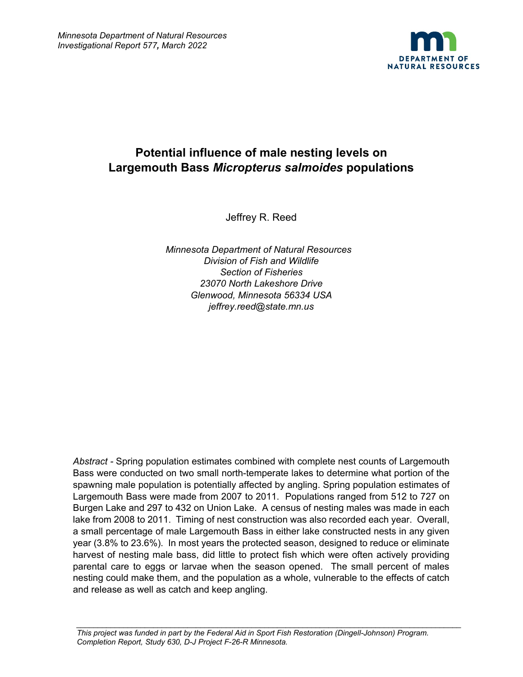

# **Potential influence of male nesting levels on Largemouth Bass** *Micropterus salmoides* **populations**

Jeffrey R. Reed

*Minnesota Department of Natural Resources Division of Fish and Wildlife Section of Fisheries 23070 North Lakeshore Drive Glenwood, Minnesota 56334 USA jeffrey.reed@state.mn.us*

*Abstract -* Spring population estimates combined with complete nest counts of Largemouth Bass were conducted on two small north-temperate lakes to determine what portion of the spawning male population is potentially affected by angling. Spring population estimates of Largemouth Bass were made from 2007 to 2011. Populations ranged from 512 to 727 on Burgen Lake and 297 to 432 on Union Lake. A census of nesting males was made in each lake from 2008 to 2011. Timing of nest construction was also recorded each year. Overall, a small percentage of male Largemouth Bass in either lake constructed nests in any given year (3.8% to 23.6%). In most years the protected season, designed to reduce or eliminate harvest of nesting male bass, did little to protect fish which were often actively providing parental care to eggs or larvae when the season opened. The small percent of males nesting could make them, and the population as a whole, vulnerable to the effects of catch and release as well as catch and keep angling.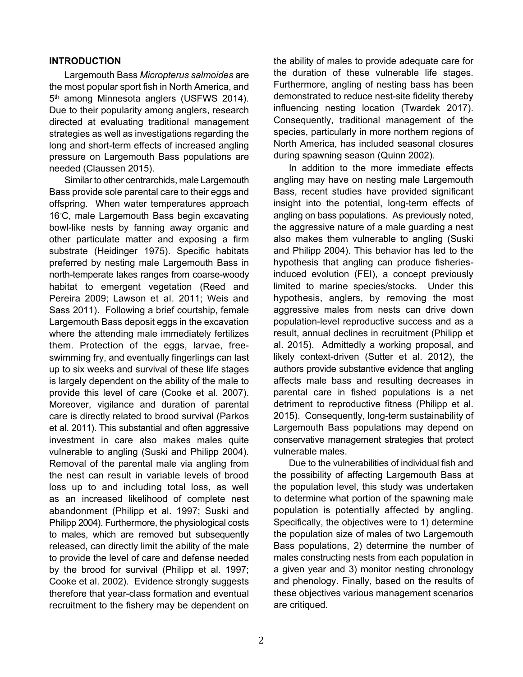#### **INTRODUCTION**

Largemouth Bass *Micropterus salmoides* are the most popular sport fish in North America, and 5<sup>th</sup> among Minnesota anglers (USFWS 2014). Due to their popularity among anglers, research directed at evaluating traditional management strategies as well as investigations regarding the long and short-term effects of increased angling pressure on Largemouth Bass populations are needed (Claussen 2015).

Similar to other centrarchids, male Largemouth Bass provide sole parental care to their eggs and offspring. When water temperatures approach 16◦ C, male Largemouth Bass begin excavating bowl-like nests by fanning away organic and other particulate matter and exposing a firm substrate (Heidinger 1975). Specific habitats preferred by nesting male Largemouth Bass in north-temperate lakes ranges from coarse-woody habitat to emergent vegetation (Reed and Pereira 2009; Lawson et al. 2011; Weis and Sass 2011). Following a brief courtship, female Largemouth Bass deposit eggs in the excavation where the attending male immediately fertilizes them. Protection of the eggs, larvae, freeswimming fry, and eventually fingerlings can last up to six weeks and survival of these life stages is largely dependent on the ability of the male to provide this level of care (Cooke et al. 2007). Moreover, vigilance and duration of parental care is directly related to brood survival (Parkos et al. 2011). This substantial and often aggressive investment in care also makes males quite vulnerable to angling (Suski and Philipp 2004). Removal of the parental male via angling from the nest can result in variable levels of brood loss up to and including total loss, as well as an increased likelihood of complete nest abandonment (Philipp et al. 1997; Suski and Philipp 2004). Furthermore, the physiological costs to males, which are removed but subsequently released, can directly limit the ability of the male to provide the level of care and defense needed by the brood for survival (Philipp et al. 1997; Cooke et al. 2002). Evidence strongly suggests therefore that year-class formation and eventual recruitment to the fishery may be dependent on the ability of males to provide adequate care for the duration of these vulnerable life stages. Furthermore, angling of nesting bass has been demonstrated to reduce nest-site fidelity thereby influencing nesting location (Twardek 2017). Consequently, traditional management of the species, particularly in more northern regions of North America, has included seasonal closures during spawning season (Quinn 2002).

In addition to the more immediate effects angling may have on nesting male Largemouth Bass, recent studies have provided significant insight into the potential, long-term effects of angling on bass populations. As previously noted, the aggressive nature of a male guarding a nest also makes them vulnerable to angling (Suski and Philipp 2004). This behavior has led to the hypothesis that angling can produce fisheriesinduced evolution (FEI), a concept previously limited to marine species/stocks. Under this hypothesis, anglers, by removing the most aggressive males from nests can drive down population-level reproductive success and as a result, annual declines in recruitment (Philipp et al. 2015). Admittedly a working proposal, and likely context-driven (Sutter et al. 2012), the authors provide substantive evidence that angling affects male bass and resulting decreases in parental care in fished populations is a net detriment to reproductive fitness (Philipp et al. 2015). Consequently, long-term sustainability of Largemouth Bass populations may depend on conservative management strategies that protect vulnerable males.

Due to the vulnerabilities of individual fish and the possibility of affecting Largemouth Bass at the population level, this study was undertaken to determine what portion of the spawning male population is potentially affected by angling. Specifically, the objectives were to 1) determine the population size of males of two Largemouth Bass populations, 2) determine the number of males constructing nests from each population in a given year and 3) monitor nesting chronology and phenology. Finally, based on the results of these objectives various management scenarios are critiqued.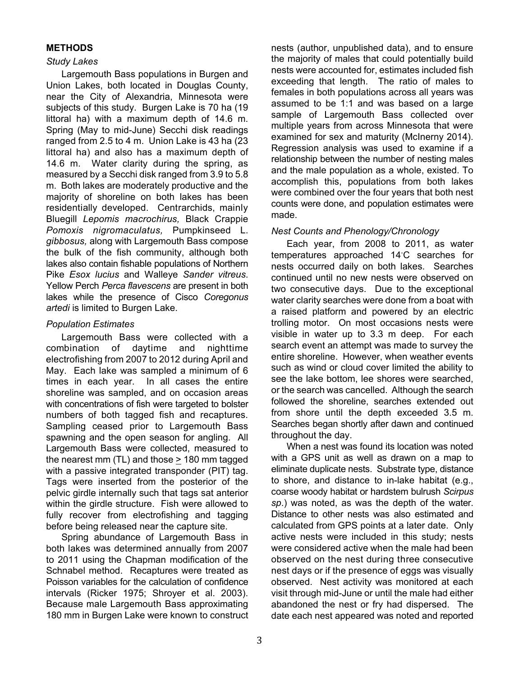# **METHODS**

# *Study Lakes*

Largemouth Bass populations in Burgen and Union Lakes, both located in Douglas County, near the City of Alexandria, Minnesota were subjects of this study. Burgen Lake is 70 ha (19 littoral ha) with a maximum depth of 14.6 m. Spring (May to mid-June) Secchi disk readings ranged from 2.5 to 4 m. Union Lake is 43 ha (23 littoral ha) and also has a maximum depth of 14.6 m. Water clarity during the spring, as measured by a Secchi disk ranged from 3.9 to 5.8 m. Both lakes are moderately productive and the majority of shoreline on both lakes has been residentially developed. Centrarchids, mainly Bluegill *Lepomis macrochirus,* Black Crappie *Pomoxis nigromaculatus,* Pumpkinseed L. *gibbosus,* along with Largemouth Bass compose the bulk of the fish community, although both lakes also contain fishable populations of Northern Pike *Esox lucius* and Walleye *Sander vitreus*. Yellow Perch *Perca flavescens* are present in both lakes while the presence of Cisco *Coregonus artedi* is limited to Burgen Lake.

# *Population Estimates*

Largemouth Bass were collected with a combination of daytime and nighttime electrofishing from 2007 to 2012 during April and May. Each lake was sampled a minimum of 6 times in each year. In all cases the entire shoreline was sampled, and on occasion areas with concentrations of fish were targeted to bolster numbers of both tagged fish and recaptures. Sampling ceased prior to Largemouth Bass spawning and the open season for angling. All Largemouth Bass were collected, measured to the nearest mm (TL) and those > 180 mm tagged with a passive integrated transponder (PIT) tag. Tags were inserted from the posterior of the pelvic girdle internally such that tags sat anterior within the girdle structure. Fish were allowed to fully recover from electrofishing and tagging before being released near the capture site.

Spring abundance of Largemouth Bass in both lakes was determined annually from 2007 to 2011 using the Chapman modification of the Schnabel method. Recaptures were treated as Poisson variables for the calculation of confidence intervals (Ricker 1975; Shroyer et al. 2003). Because male Largemouth Bass approximating 180 mm in Burgen Lake were known to construct

nests (author, unpublished data), and to ensure the majority of males that could potentially build nests were accounted for, estimates included fish exceeding that length. The ratio of males to females in both populations across all years was assumed to be 1:1 and was based on a large sample of Largemouth Bass collected over multiple years from across Minnesota that were examined for sex and maturity (McInerny 2014). Regression analysis was used to examine if a relationship between the number of nesting males and the male population as a whole, existed. To accomplish this, populations from both lakes were combined over the four years that both nest counts were done, and population estimates were made.

# *Nest Counts and Phenology/Chronology*

Each year, from 2008 to 2011, as water temperatures approached 14◦ C searches for nests occurred daily on both lakes. Searches continued until no new nests were observed on two consecutive days. Due to the exceptional water clarity searches were done from a boat with a raised platform and powered by an electric trolling motor. On most occasions nests were visible in water up to 3.3 m deep. For each search event an attempt was made to survey the entire shoreline. However, when weather events such as wind or cloud cover limited the ability to see the lake bottom, lee shores were searched, or the search was cancelled. Although the search followed the shoreline, searches extended out from shore until the depth exceeded 3.5 m. Searches began shortly after dawn and continued throughout the day.

When a nest was found its location was noted with a GPS unit as well as drawn on a map to eliminate duplicate nests. Substrate type, distance to shore, and distance to in-lake habitat (e.g., coarse woody habitat or hardstem bulrush *Scirpus sp*.) was noted, as was the depth of the water. Distance to other nests was also estimated and calculated from GPS points at a later date. Only active nests were included in this study; nests were considered active when the male had been observed on the nest during three consecutive nest days or if the presence of eggs was visually observed. Nest activity was monitored at each visit through mid-June or until the male had either abandoned the nest or fry had dispersed. The date each nest appeared was noted and reported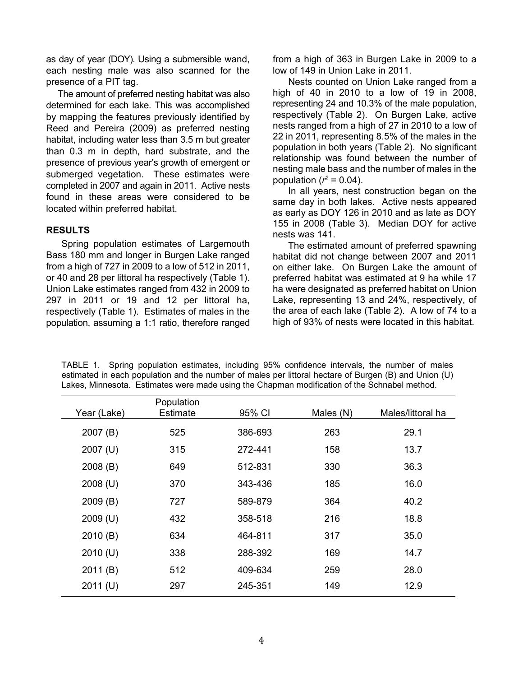as day of year (DOY). Using a submersible wand, each nesting male was also scanned for the presence of a PIT tag.

The amount of preferred nesting habitat was also determined for each lake. This was accomplished by mapping the features previously identified by Reed and Pereira (2009) as preferred nesting habitat, including water less than 3.5 m but greater than 0.3 m in depth, hard substrate, and the presence of previous year's growth of emergent or submerged vegetation. These estimates were completed in 2007 and again in 2011. Active nests found in these areas were considered to be located within preferred habitat.

#### **RESULTS**

Spring population estimates of Largemouth Bass 180 mm and longer in Burgen Lake ranged from a high of 727 in 2009 to a low of 512 in 2011, or 40 and 28 per littoral ha respectively (Table 1). Union Lake estimates ranged from 432 in 2009 to 297 in 2011 or 19 and 12 per littoral ha, respectively (Table 1). Estimates of males in the population, assuming a 1:1 ratio, therefore ranged from a high of 363 in Burgen Lake in 2009 to a low of 149 in Union Lake in 2011.

Nests counted on Union Lake ranged from a high of 40 in 2010 to a low of 19 in 2008, representing 24 and 10.3% of the male population, respectively (Table 2). On Burgen Lake, active nests ranged from a high of 27 in 2010 to a low of 22 in 2011, representing 8.5% of the males in the population in both years (Table 2). No significant relationship was found between the number of nesting male bass and the number of males in the population ( $r^2$  = 0.04).

In all years, nest construction began on the same day in both lakes. Active nests appeared as early as DOY 126 in 2010 and as late as DOY 155 in 2008 (Table 3). Median DOY for active nests was 141.

The estimated amount of preferred spawning habitat did not change between 2007 and 2011 on either lake. On Burgen Lake the amount of preferred habitat was estimated at 9 ha while 17 ha were designated as preferred habitat on Union Lake, representing 13 and 24%, respectively, of the area of each lake (Table 2). A low of 74 to a high of 93% of nests were located in this habitat.

| Year (Lake) | Population<br>Estimate | 95% CI  | Males (N) | Males/littoral ha |
|-------------|------------------------|---------|-----------|-------------------|
| 2007(B)     | 525                    | 386-693 | 263       | 29.1              |
| $2007$ (U)  | 315                    | 272-441 | 158       | 13.7              |
| 2008(B)     | 649                    | 512-831 | 330       | 36.3              |
| $2008$ (U)  | 370                    | 343-436 | 185       | 16.0              |
| 2009(B)     | 727                    | 589-879 | 364       | 40.2              |
| $2009$ (U)  | 432                    | 358-518 | 216       | 18.8              |
| 2010(B)     | 634                    | 464-811 | 317       | 35.0              |
| 2010 (U)    | 338                    | 288-392 | 169       | 14.7              |
| 2011(B)     | 512                    | 409-634 | 259       | 28.0              |
| 2011 (U)    | 297                    | 245-351 | 149       | 12.9              |

TABLE 1. Spring population estimates, including 95% confidence intervals, the number of males estimated in each population and the number of males per littoral hectare of Burgen (B) and Union (U) Lakes, Minnesota. Estimates were made using the Chapman modification of the Schnabel method.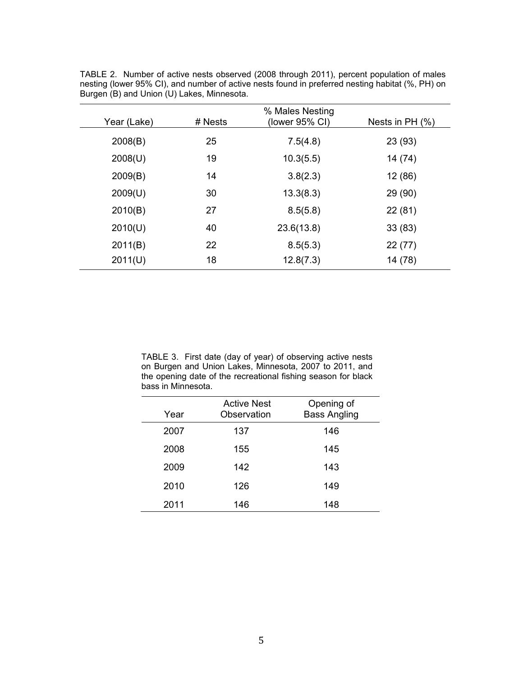|             |         | % Males Nesting |                   |
|-------------|---------|-----------------|-------------------|
| Year (Lake) | # Nests | (lower 95% CI)  | Nests in $PH (%)$ |
| 2008(B)     | 25      | 7.5(4.8)        | 23 (93)           |
| 2008(U)     | 19      | 10.3(5.5)       | 14 (74)           |
| 2009(B)     | 14      | 3.8(2.3)        | 12 (86)           |
| 2009(U)     | 30      | 13.3(8.3)       | 29 (90)           |
| 2010(B)     | 27      | 8.5(5.8)        | 22(81)            |
| 2010(U)     | 40      | 23.6(13.8)      | 33(83)            |
| 2011(B)     | 22      | 8.5(5.3)        | 22 (77)           |
| 2011(U)     | 18      | 12.8(7.3)       | 14 (78)           |

TABLE 2. Number of active nests observed (2008 through 2011), percent population of males nesting (lower 95% CI), and number of active nests found in preferred nesting habitat (%, PH) on Burgen (B) and Union (U) Lakes, Minnesota.

TABLE 3. First date (day of year) of observing active nests on Burgen and Union Lakes, Minnesota, 2007 to 2011, and the opening date of the recreational fishing season for black bass in Minnesota.

| Year | <b>Active Nest</b><br>Observation | Opening of<br><b>Bass Angling</b> |
|------|-----------------------------------|-----------------------------------|
| 2007 | 137                               | 146                               |
| 2008 | 155                               | 145                               |
| 2009 | 142                               | 143                               |
| 2010 | 126                               | 149                               |
| 2011 | 146                               | 148                               |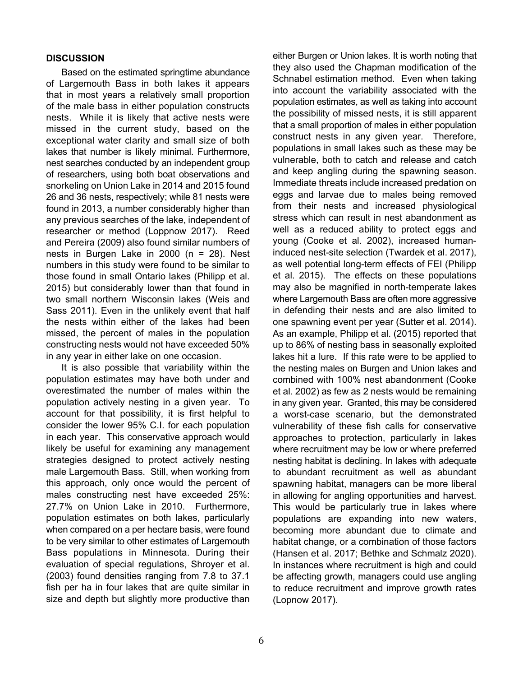## **DISCUSSION**

Based on the estimated springtime abundance of Largemouth Bass in both lakes it appears that in most years a relatively small proportion of the male bass in either population constructs nests. While it is likely that active nests were missed in the current study, based on the exceptional water clarity and small size of both lakes that number is likely minimal. Furthermore, nest searches conducted by an independent group of researchers, using both boat observations and snorkeling on Union Lake in 2014 and 2015 found 26 and 36 nests, respectively; while 81 nests were found in 2013, a number considerably higher than any previous searches of the lake, independent of researcher or method (Loppnow 2017). Reed and Pereira (2009) also found similar numbers of nests in Burgen Lake in 2000 (n = 28). Nest numbers in this study were found to be similar to those found in small Ontario lakes (Philipp et al. 2015) but considerably lower than that found in two small northern Wisconsin lakes (Weis and Sass 2011). Even in the unlikely event that half the nests within either of the lakes had been missed, the percent of males in the population constructing nests would not have exceeded 50% in any year in either lake on one occasion.

It is also possible that variability within the population estimates may have both under and overestimated the number of males within the population actively nesting in a given year. To account for that possibility, it is first helpful to consider the lower 95% C.I. for each population in each year. This conservative approach would likely be useful for examining any management strategies designed to protect actively nesting male Largemouth Bass. Still, when working from this approach, only once would the percent of males constructing nest have exceeded 25%: 27.7% on Union Lake in 2010. Furthermore, population estimates on both lakes, particularly when compared on a per hectare basis, were found to be very similar to other estimates of Largemouth Bass populations in Minnesota. During their evaluation of special regulations, Shroyer et al. (2003) found densities ranging from 7.8 to 37.1 fish per ha in four lakes that are quite similar in size and depth but slightly more productive than

either Burgen or Union lakes. It is worth noting that they also used the Chapman modification of the Schnabel estimation method. Even when taking into account the variability associated with the population estimates, as well as taking into account the possibility of missed nests, it is still apparent that a small proportion of males in either population construct nests in any given year. Therefore, populations in small lakes such as these may be vulnerable, both to catch and release and catch and keep angling during the spawning season. Immediate threats include increased predation on eggs and larvae due to males being removed from their nests and increased physiological stress which can result in nest abandonment as well as a reduced ability to protect eggs and young (Cooke et al. 2002), increased humaninduced nest-site selection (Twardek et al. 2017), as well potential long-term effects of FEI (Philipp et al. 2015). The effects on these populations may also be magnified in north-temperate lakes where Largemouth Bass are often more aggressive in defending their nests and are also limited to one spawning event per year (Sutter et al. 2014). As an example, Philipp et al. (2015) reported that up to 86% of nesting bass in seasonally exploited lakes hit a lure. If this rate were to be applied to the nesting males on Burgen and Union lakes and combined with 100% nest abandonment (Cooke et al. 2002) as few as 2 nests would be remaining in any given year. Granted, this may be considered a worst-case scenario, but the demonstrated vulnerability of these fish calls for conservative approaches to protection, particularly in lakes where recruitment may be low or where preferred nesting habitat is declining. In lakes with adequate to abundant recruitment as well as abundant spawning habitat, managers can be more liberal in allowing for angling opportunities and harvest. This would be particularly true in lakes where populations are expanding into new waters, becoming more abundant due to climate and habitat change, or a combination of those factors (Hansen et al. 2017; Bethke and Schmalz 2020). In instances where recruitment is high and could be affecting growth, managers could use angling to reduce recruitment and improve growth rates (Lopnow 2017).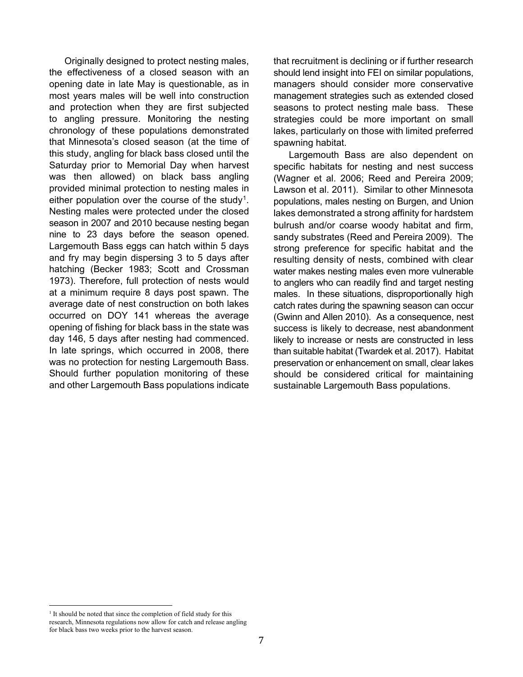Originally designed to protect nesting males, the effectiveness of a closed season with an opening date in late May is questionable, as in most years males will be well into construction and protection when they are first subjected to angling pressure. Monitoring the nesting chronology of these populations demonstrated that Minnesota's closed season (at the time of this study, angling for black bass closed until the Saturday prior to Memorial Day when harvest was then allowed) on black bass angling provided minimal protection to nesting males in either population over the course of the study<sup>[1](#page-6-0)</sup>. Nesting males were protected under the closed season in 2007 and 2010 because nesting began nine to 23 days before the season opened. Largemouth Bass eggs can hatch within 5 days and fry may begin dispersing 3 to 5 days after hatching (Becker 1983; Scott and Crossman 1973). Therefore, full protection of nests would at a minimum require 8 days post spawn. The average date of nest construction on both lakes occurred on DOY 141 whereas the average opening of fishing for black bass in the state was day 146, 5 days after nesting had commenced. In late springs, which occurred in 2008, there was no protection for nesting Largemouth Bass. Should further population monitoring of these and other Largemouth Bass populations indicate

that recruitment is declining or if further research should lend insight into FEI on similar populations, managers should consider more conservative management strategies such as extended closed seasons to protect nesting male bass. These strategies could be more important on small lakes, particularly on those with limited preferred spawning habitat.

Largemouth Bass are also dependent on specific habitats for nesting and nest success (Wagner et al. 2006; Reed and Pereira 2009; Lawson et al. 2011). Similar to other Minnesota populations, males nesting on Burgen, and Union lakes demonstrated a strong affinity for hardstem bulrush and/or coarse woody habitat and firm, sandy substrates (Reed and Pereira 2009). The strong preference for specific habitat and the resulting density of nests, combined with clear water makes nesting males even more vulnerable to anglers who can readily find and target nesting males. In these situations, disproportionally high catch rates during the spawning season can occur (Gwinn and Allen 2010). As a consequence, nest success is likely to decrease, nest abandonment likely to increase or nests are constructed in less than suitable habitat (Twardek et al. 2017). Habitat preservation or enhancement on small, clear lakes should be considered critical for maintaining sustainable Largemouth Bass populations.

<span id="page-6-0"></span><sup>&</sup>lt;sup>1</sup> It should be noted that since the completion of field study for this research, Minnesota regulations now allow for catch and release angling for black bass two weeks prior to the harvest season.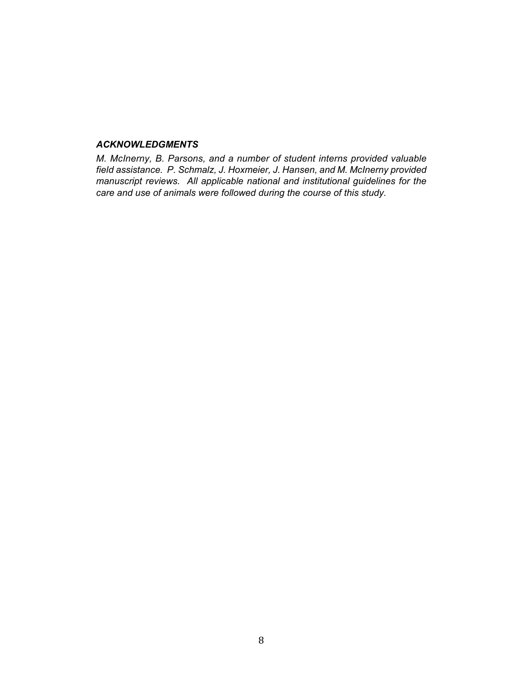### *ACKNOWLEDGMENTS*

*M. McInerny, B. Parsons, and a number of student interns provided valuable field assistance. P. Schmalz, J. Hoxmeier, J. Hansen, and M. McInerny provided manuscript reviews. All applicable national and institutional guidelines for the care and use of animals were followed during the course of this study.*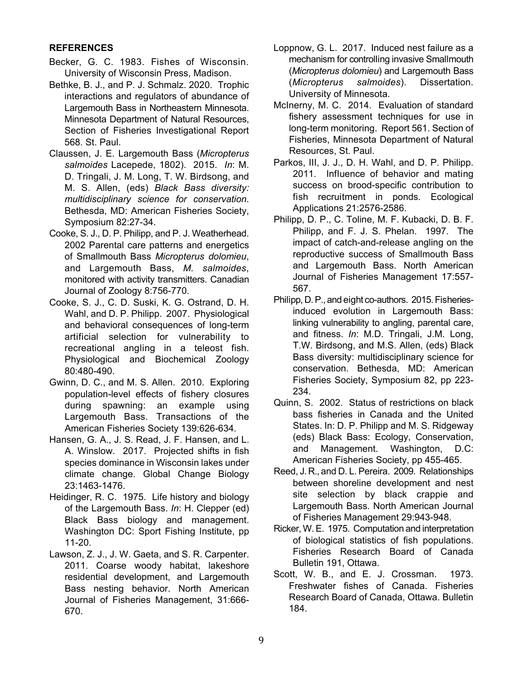# **REFERENCES**

- Becker, G. C. 1983. Fishes of Wisconsin. University of Wisconsin Press, Madison.
- Bethke, B. J., and P. J. Schmalz. 2020. Trophic interactions and regulators of abundance of Largemouth Bass in Northeastern Minnesota. Minnesota Department of Natural Resources, Section of Fisheries Investigational Report 568. St. Paul.
- Claussen, J. E. Largemouth Bass (*Micropterus salmoides* Lacepede, 1802). 2015. *In*: M. D. Tringali, J. M. Long, T. W. Birdsong, and M. S. Allen, (eds) *Black Bass diversity: multidisciplinary science for conservation*. Bethesda, MD: American Fisheries Society, Symposium 82:27-34.
- Cooke, S. J., D. P. Philipp, and P. J. Weatherhead. 2002 Parental care patterns and energetics of Smallmouth Bass *Micropterus dolomieu*, and Largemouth Bass, *M. salmoides*, monitored with activity transmitters. Canadian Journal of Zoology 8:756-770.
- Cooke, S. J., C. D. Suski, K. G. Ostrand, D. H. Wahl, and D. P. Philipp. 2007. Physiological and behavioral consequences of long-term artificial selection for vulnerability to recreational angling in a teleost fish. Physiological and Biochemical Zoology 80:480-490.
- Gwinn, D. C., and M. S. Allen. 2010. Exploring population-level effects of fishery closures during spawning: an example using Largemouth Bass. Transactions of the American Fisheries Society 139:626-634.
- Hansen, G. A., J. S. Read, J. F. Hansen, and L. A. Winslow. 2017. Projected shifts in fish species dominance in Wisconsin lakes under climate change. Global Change Biology 23:1463-1476.
- Heidinger, R. C. 1975. Life history and biology of the Largemouth Bass. *In*: H. Clepper (ed) Black Bass biology and management. Washington DC: Sport Fishing Institute, pp 11-20.
- Lawson, Z. J., J. W. Gaeta, and S. R. Carpenter. 2011. Coarse woody habitat, lakeshore residential development, and Largemouth Bass nesting behavior. North American Journal of Fisheries Management, 31:666- 670.
- Loppnow, G. L. 2017. Induced nest failure as a mechanism for controlling invasive Smallmouth (*Micropterus dolomieu*) and Largemouth Bass (*Micropterus salmoides*). Dissertation. University of Minnesota.
- McInerny, M. C. 2014. Evaluation of standard fishery assessment techniques for use in long-term monitoring. Report 561. Section of Fisheries, Minnesota Department of Natural Resources, St. Paul.
- Parkos, III, J. J., D. H. Wahl, and D. P. Philipp. 2011. Influence of behavior and mating success on brood-specific contribution to fish recruitment in ponds*.* Ecological Applications 21:2576-2586.
- Philipp, D. P., C. Toline, M. F. Kubacki, D. B. F. Philipp, and F. J. S. Phelan. 1997. The impact of catch-and-release angling on the reproductive success of Smallmouth Bass and Largemouth Bass. North American Journal of Fisheries Management 17:557- 567.
- Philipp, D.P., and eight co-authors. 2015. Fisheriesinduced evolution in Largemouth Bass: linking vulnerability to angling, parental care, and fitness. *In*: M.D. Tringali, J.M. Long, T.W. Birdsong, and M.S. Allen, (eds) Black Bass diversity: multidisciplinary science for conservation. Bethesda, MD: American Fisheries Society, Symposium 82, pp 223- 234.
- Quinn, S. 2002. Status of restrictions on black bass fisheries in Canada and the United States. In: D. P. Philipp and M. S. Ridgeway (eds) Black Bass: Ecology, Conservation, and Management. Washington, D.C: American Fisheries Society, pp 455-465.
- Reed, J. R., and D. L. Pereira. 2009. Relationships between shoreline development and nest site selection by black crappie and Largemouth Bass. North American Journal of Fisheries Management 29:943-948.
- Ricker, W.E. 1975. Computation and interpretation of biological statistics of fish populations. Fisheries Research Board of Canada Bulletin 191, Ottawa.
- Scott, W. B., and E. J. Crossman. 1973. Freshwater fishes of Canada. Fisheries Research Board of Canada, Ottawa. Bulletin 184.